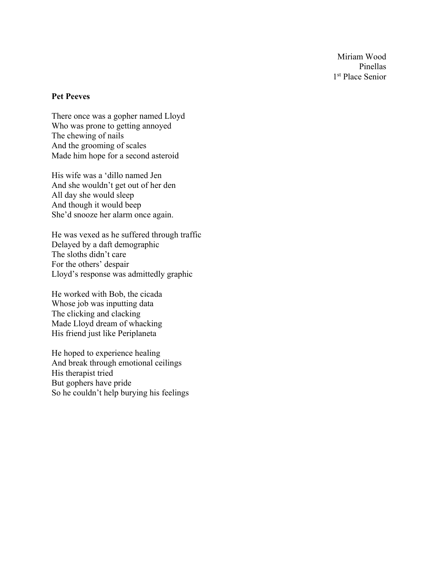Miriam Wood Pinellas 1<sup>st</sup> Place Senior

## **Pet Peeves**

There once was a gopher named Lloyd Who was prone to getting annoyed The chewing of nails And the grooming of scales Made him hope for a second asteroid

His wife was a 'dillo named Jen And she wouldn't get out of her den All day she would sleep And though it would beep She'd snooze her alarm once again.

He was vexed as he suffered through traffic Delayed by a daft demographic The sloths didn't care For the others' despair Lloyd's response was admittedly graphic

He worked with Bob, the cicada Whose job was inputting data The clicking and clacking Made Lloyd dream of whacking His friend just like Periplaneta

He hoped to experience healing And break through emotional ceilings His therapist tried But gophers have pride So he couldn't help burying his feelings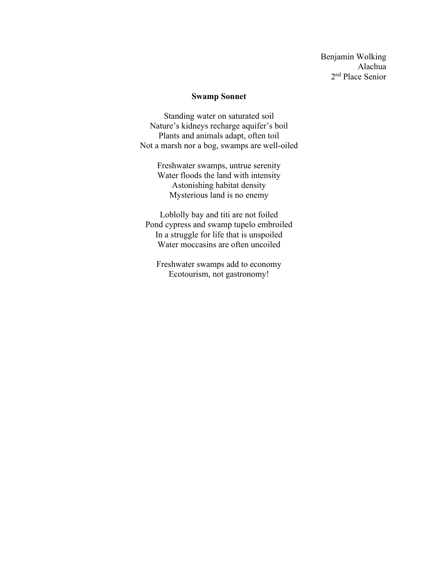Benjamin Wolking Alachua 2nd Place Senior

## **Swamp Sonnet**

Standing water on saturated soil Nature's kidneys recharge aquifer's boil Plants and animals adapt, often toil Not a marsh nor a bog, swamps are well-oiled

> Freshwater swamps, untrue serenity Water floods the land with intensity Astonishing habitat density Mysterious land is no enemy

Loblolly bay and titi are not foiled Pond cypress and swamp tupelo embroiled In a struggle for life that is unspoiled Water moccasins are often uncoiled

Freshwater swamps add to economy Ecotourism, not gastronomy!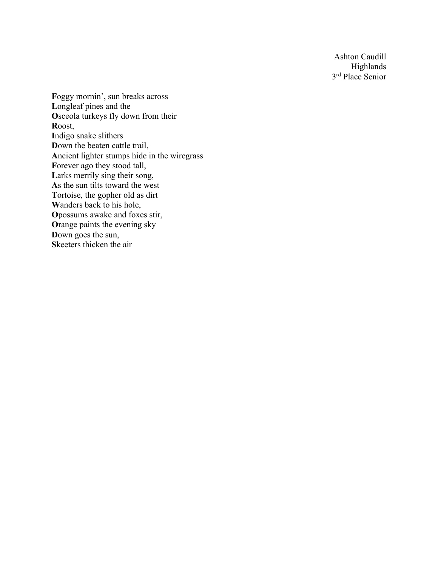Ashton Caudill Highlands 3<sup>rd</sup> Place Senior

**F**oggy mornin', sun breaks across **L**ongleaf pines and the **O**sceola turkeys fly down from their **R**oost, **I**ndigo snake slithers **D**own the beaten cattle trail, **A**ncient lighter stumps hide in the wiregrass Forever ago they stood tall, Larks merrily sing their song, **A**s the sun tilts toward the west **T**ortoise, the gopher old as dirt **W**anders back to his hole, **O**possums awake and foxes stir, **O**range paints the evening sky **D**own goes the sun, **S**keeters thicken the air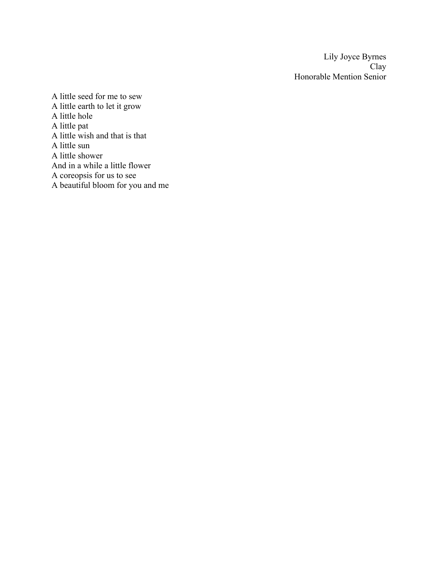Lily Joyce Byrnes Clay Honorable Mention Senior

A little seed for me to sew A little earth to let it grow A little hole A little pat A little wish and that is that A little sun A little shower And in a while a little flower A coreopsis for us to see A beautiful bloom for you and me